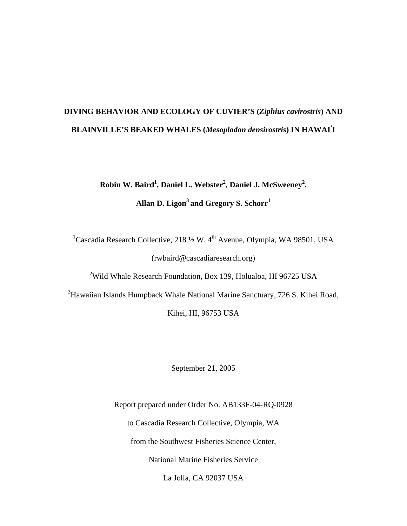# **DIVING BEHAVIOR AND ECOLOGY OF CUVIER'S (***Ziphius cavirostris***) AND BLAINVILLE'S BEAKED WHALES (***Mesoplodon densirostris***) IN HAWAI' I**

**Robin W. Baird<sup>1</sup>, Daniel L. Webster<sup>2</sup>, Daniel J. McSweeney<sup>2</sup>,** Allan D. Ligon<sup>3</sup> and Gregory S. Schorr<sup>1</sup>

<sup>1</sup>Cascadia Research Collective, 218 1/2 W. 4<sup>th</sup> Avenue, Olympia, WA 98501, USA (rwbaird@cascadiaresearch.org)

<sup>2</sup>Wild Whale Research Foundation, Box 139, Holualoa, HI 96725 USA

<sup>3</sup>Hawaiian Islands Humpback Whale National Marine Sanctuary, 726 S. Kihei Road,

Kihei, HI, 96753 USA

September 21, 2005

Report prepared under Order No. AB133F-04-RQ-0928 to Cascadia Research Collective, Olympia, WA from the Southwest Fisheries Science Center, National Marine Fisheries Service La Jolla, CA 92037 USA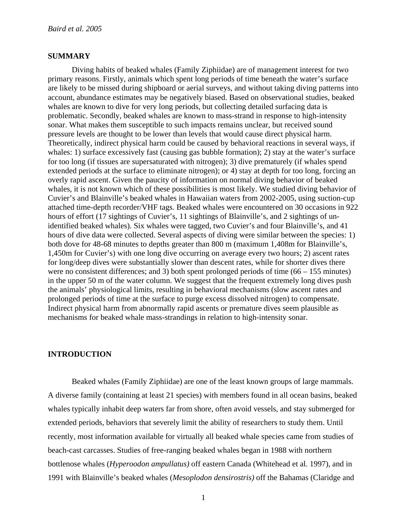## **SUMMARY**

 Diving habits of beaked whales (Family Ziphiidae) are of management interest for two primary reasons. Firstly, animals which spent long periods of time beneath the water's surface are likely to be missed during shipboard or aerial surveys, and without taking diving patterns into account, abundance estimates may be negatively biased. Based on observational studies, beaked whales are known to dive for very long periods, but collecting detailed surfacing data is problematic. Secondly, beaked whales are known to mass-strand in response to high-intensity sonar. What makes them susceptible to such impacts remains unclear, but received sound pressure levels are thought to be lower than levels that would cause direct physical harm. Theoretically, indirect physical harm could be caused by behavioral reactions in several ways, if whales: 1) surface excessively fast (causing gas bubble formation); 2) stay at the water's surface for too long (if tissues are supersaturated with nitrogen); 3) dive prematurely (if whales spend extended periods at the surface to eliminate nitrogen); or 4) stay at depth for too long, forcing an overly rapid ascent. Given the paucity of information on normal diving behavior of beaked whales, it is not known which of these possibilities is most likely. We studied diving behavior of Cuvier's and Blainville's beaked whales in Hawaiian waters from 2002-2005, using suction-cup attached time-depth recorder/VHF tags. Beaked whales were encountered on 30 occasions in 922 hours of effort (17 sightings of Cuvier's, 11 sightings of Blainville's, and 2 sightings of unidentified beaked whales). Six whales were tagged, two Cuvier's and four Blainville's, and 41 hours of dive data were collected. Several aspects of diving were similar between the species: 1) both dove for 48-68 minutes to depths greater than 800 m (maximum 1,408m for Blainville's, 1,450m for Cuvier's) with one long dive occurring on average every two hours; 2) ascent rates for long/deep dives were substantially slower than descent rates, while for shorter dives there were no consistent differences; and 3) both spent prolonged periods of time (66 – 155 minutes) in the upper 50 m of the water column. We suggest that the frequent extremely long dives push the animals' physiological limits, resulting in behavioral mechanisms (slow ascent rates and prolonged periods of time at the surface to purge excess dissolved nitrogen) to compensate. Indirect physical harm from abnormally rapid ascents or premature dives seem plausible as mechanisms for beaked whale mass-strandings in relation to high-intensity sonar.

# **INTRODUCTION**

Beaked whales (Family Ziphiidae) are one of the least known groups of large mammals. A diverse family (containing at least 21 species) with members found in all ocean basins, beaked whales typically inhabit deep waters far from shore, often avoid vessels, and stay submerged for extended periods, behaviors that severely limit the ability of researchers to study them. Until recently, most information available for virtually all beaked whale species came from studies of beach-cast carcasses. Studies of free-ranging beaked whales began in 1988 with northern bottlenose whales (*Hyperoodon ampullatus)* off eastern Canada (Whitehead et al. 1997), and in 1991 with Blainville's beaked whales (*Mesoplodon densirostris)* off the Bahamas (Claridge and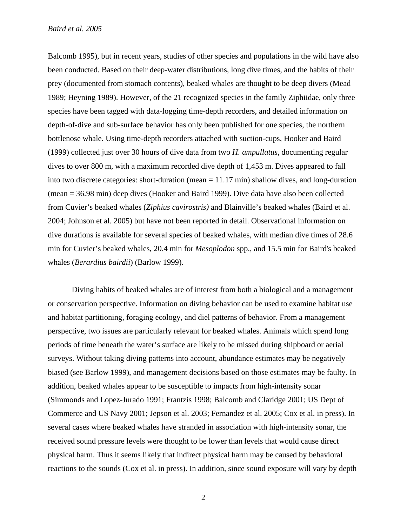Balcomb 1995), but in recent years, studies of other species and populations in the wild have also been conducted. Based on their deep-water distributions, long dive times, and the habits of their prey (documented from stomach contents), beaked whales are thought to be deep divers (Mead 1989; Heyning 1989). However, of the 21 recognized species in the family Ziphiidae, only three species have been tagged with data-logging time-depth recorders, and detailed information on depth-of-dive and sub-surface behavior has only been published for one species, the northern bottlenose whale*.* Using time-depth recorders attached with suction-cups, Hooker and Baird (1999) collected just over 30 hours of dive data from two *H. ampullatus*, documenting regular dives to over 800 m, with a maximum recorded dive depth of 1,453 m. Dives appeared to fall into two discrete categories: short-duration (mean = 11.17 min) shallow dives, and long-duration (mean = 36.98 min) deep dives (Hooker and Baird 1999). Dive data have also been collected from Cuvier's beaked whales (*Ziphius cavirostris)* and Blainville's beaked whales (Baird et al. 2004; Johnson et al. 2005) but have not been reported in detail. Observational information on dive durations is available for several species of beaked whales, with median dive times of 28.6 min for Cuvier's beaked whales, 20.4 min for *Mesoplodon* spp., and 15.5 min for Baird's beaked whales (*Berardius bairdii*) (Barlow 1999).

Diving habits of beaked whales are of interest from both a biological and a management or conservation perspective. Information on diving behavior can be used to examine habitat use and habitat partitioning, foraging ecology, and diel patterns of behavior. From a management perspective, two issues are particularly relevant for beaked whales. Animals which spend long periods of time beneath the water's surface are likely to be missed during shipboard or aerial surveys. Without taking diving patterns into account, abundance estimates may be negatively biased (see Barlow 1999), and management decisions based on those estimates may be faulty. In addition, beaked whales appear to be susceptible to impacts from high-intensity sonar (Simmonds and Lopez-Jurado 1991; Frantzis 1998; Balcomb and Claridge 2001; US Dept of Commerce and US Navy 2001; Jepson et al. 2003; Fernandez et al. 2005; Cox et al. in press). In several cases where beaked whales have stranded in association with high-intensity sonar, the received sound pressure levels were thought to be lower than levels that would cause direct physical harm. Thus it seems likely that indirect physical harm may be caused by behavioral reactions to the sounds (Cox et al. in press). In addition, since sound exposure will vary by depth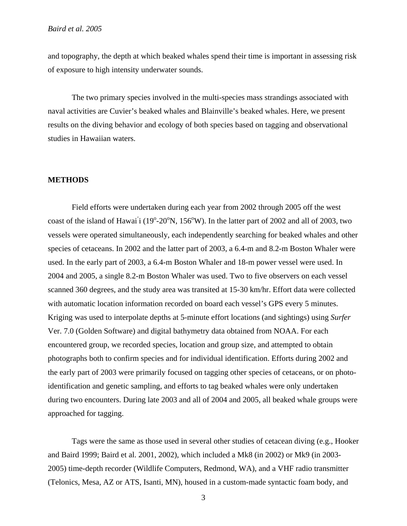and topography, the depth at which beaked whales spend their time is important in assessing risk of exposure to high intensity underwater sounds.

The two primary species involved in the multi-species mass strandings associated with naval activities are Cuvier's beaked whales and Blainville's beaked whales. Here, we present results on the diving behavior and ecology of both species based on tagging and observational studies in Hawaiian waters.

### **METHODS**

Field efforts were undertaken during each year from 2002 through 2005 off the west coast of the island of Hawai<sup>'</sup>i (19<sup>o</sup>-20<sup>o</sup>N, 156<sup>o</sup>W). In the latter part of 2002 and all of 2003, two vessels were operated simultaneously, each independently searching for beaked whales and other species of cetaceans. In 2002 and the latter part of 2003, a 6.4-m and 8.2-m Boston Whaler were used. In the early part of 2003, a 6.4-m Boston Whaler and 18-m power vessel were used. In 2004 and 2005, a single 8.2-m Boston Whaler was used. Two to five observers on each vessel scanned 360 degrees, and the study area was transited at 15-30 km/hr. Effort data were collected with automatic location information recorded on board each vessel's GPS every 5 minutes. Kriging was used to interpolate depths at 5-minute effort locations (and sightings) using *Surfer*  Ver. 7.0 (Golden Software) and digital bathymetry data obtained from NOAA. For each encountered group, we recorded species, location and group size, and attempted to obtain photographs both to confirm species and for individual identification. Efforts during 2002 and the early part of 2003 were primarily focused on tagging other species of cetaceans, or on photoidentification and genetic sampling, and efforts to tag beaked whales were only undertaken during two encounters. During late 2003 and all of 2004 and 2005, all beaked whale groups were approached for tagging.

Tags were the same as those used in several other studies of cetacean diving (e.g., Hooker and Baird 1999; Baird et al. 2001, 2002), which included a Mk8 (in 2002) or Mk9 (in 2003- 2005) time-depth recorder (Wildlife Computers, Redmond, WA), and a VHF radio transmitter (Telonics, Mesa, AZ or ATS, Isanti, MN), housed in a custom-made syntactic foam body, and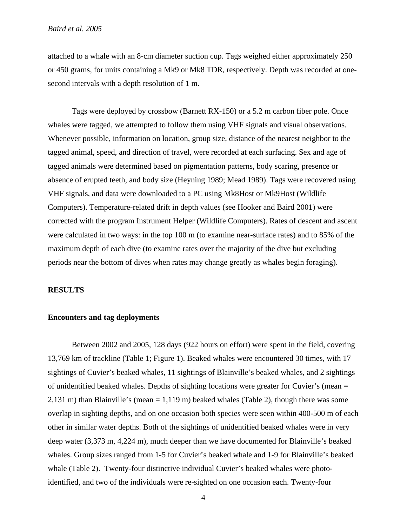attached to a whale with an 8-cm diameter suction cup. Tags weighed either approximately 250 or 450 grams, for units containing a Mk9 or Mk8 TDR, respectively. Depth was recorded at onesecond intervals with a depth resolution of 1 m.

Tags were deployed by crossbow (Barnett RX-150) or a 5.2 m carbon fiber pole. Once whales were tagged, we attempted to follow them using VHF signals and visual observations. Whenever possible, information on location, group size, distance of the nearest neighbor to the tagged animal, speed, and direction of travel, were recorded at each surfacing. Sex and age of tagged animals were determined based on pigmentation patterns, body scaring, presence or absence of erupted teeth, and body size (Heyning 1989; Mead 1989). Tags were recovered using VHF signals, and data were downloaded to a PC using Mk8Host or Mk9Host (Wildlife Computers). Temperature-related drift in depth values (see Hooker and Baird 2001) were corrected with the program Instrument Helper (Wildlife Computers). Rates of descent and ascent were calculated in two ways: in the top 100 m (to examine near-surface rates) and to 85% of the maximum depth of each dive (to examine rates over the majority of the dive but excluding periods near the bottom of dives when rates may change greatly as whales begin foraging).

#### **RESULTS**

#### **Encounters and tag deployments**

Between 2002 and 2005, 128 days (922 hours on effort) were spent in the field, covering 13,769 km of trackline (Table 1; Figure 1). Beaked whales were encountered 30 times, with 17 sightings of Cuvier's beaked whales, 11 sightings of Blainville's beaked whales, and 2 sightings of unidentified beaked whales. Depths of sighting locations were greater for Cuvier's (mean = 2,131 m) than Blainville's (mean = 1,119 m) beaked whales (Table 2), though there was some overlap in sighting depths, and on one occasion both species were seen within 400-500 m of each other in similar water depths. Both of the sightings of unidentified beaked whales were in very deep water (3,373 m, 4,224 m), much deeper than we have documented for Blainville's beaked whales. Group sizes ranged from 1-5 for Cuvier's beaked whale and 1-9 for Blainville's beaked whale (Table 2). Twenty-four distinctive individual Cuvier's beaked whales were photoidentified, and two of the individuals were re-sighted on one occasion each. Twenty-four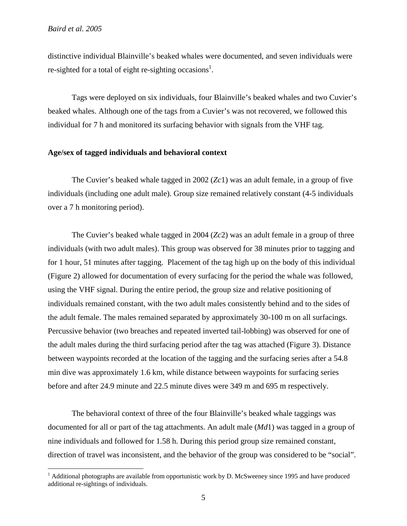<u>.</u>

distinctive individual Blainville's beaked whales were documented, and seven individuals were re-sighted for a total of eight re-sighting occasions<sup>1</sup>.

Tags were deployed on six individuals, four Blainville's beaked whales and two Cuvier's beaked whales. Although one of the tags from a Cuvier's was not recovered, we followed this individual for 7 h and monitored its surfacing behavior with signals from the VHF tag.

## **Age/sex of tagged individuals and behavioral context**

The Cuvier's beaked whale tagged in 2002 (*Zc*1) was an adult female, in a group of five individuals (including one adult male). Group size remained relatively constant (4-5 individuals over a 7 h monitoring period).

The Cuvier's beaked whale tagged in 2004 (*Zc*2) was an adult female in a group of three individuals (with two adult males). This group was observed for 38 minutes prior to tagging and for 1 hour, 51 minutes after tagging. Placement of the tag high up on the body of this individual (Figure 2) allowed for documentation of every surfacing for the period the whale was followed, using the VHF signal. During the entire period, the group size and relative positioning of individuals remained constant, with the two adult males consistently behind and to the sides of the adult female. The males remained separated by approximately 30-100 m on all surfacings. Percussive behavior (two breaches and repeated inverted tail-lobbing) was observed for one of the adult males during the third surfacing period after the tag was attached (Figure 3). Distance between waypoints recorded at the location of the tagging and the surfacing series after a 54.8 min dive was approximately 1.6 km, while distance between waypoints for surfacing series before and after 24.9 minute and 22.5 minute dives were 349 m and 695 m respectively.

The behavioral context of three of the four Blainville's beaked whale taggings was documented for all or part of the tag attachments. An adult male (*Md*1) was tagged in a group of nine individuals and followed for 1.58 h. During this period group size remained constant, direction of travel was inconsistent, and the behavior of the group was considered to be "social".

<span id="page-5-0"></span><sup>&</sup>lt;sup>1</sup> Additional photographs are available from opportunistic work by D. McSweeney since 1995 and have produced additional re-sightings of individuals.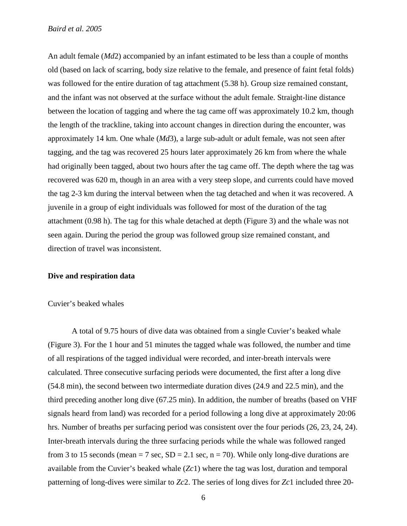An adult female (*Md*2) accompanied by an infant estimated to be less than a couple of months old (based on lack of scarring, body size relative to the female, and presence of faint fetal folds) was followed for the entire duration of tag attachment (5.38 h). Group size remained constant, and the infant was not observed at the surface without the adult female. Straight-line distance between the location of tagging and where the tag came off was approximately 10.2 km, though the length of the trackline, taking into account changes in direction during the encounter, was approximately 14 km. One whale (*Md*3), a large sub-adult or adult female, was not seen after tagging, and the tag was recovered 25 hours later approximately 26 km from where the whale had originally been tagged, about two hours after the tag came off. The depth where the tag was recovered was 620 m, though in an area with a very steep slope, and currents could have moved the tag 2-3 km during the interval between when the tag detached and when it was recovered. A juvenile in a group of eight individuals was followed for most of the duration of the tag attachment (0.98 h). The tag for this whale detached at depth (Figure 3) and the whale was not seen again. During the period the group was followed group size remained constant, and direction of travel was inconsistent.

#### **Dive and respiration data**

#### Cuvier's beaked whales

A total of 9.75 hours of dive data was obtained from a single Cuvier's beaked whale (Figure 3). For the 1 hour and 51 minutes the tagged whale was followed, the number and time of all respirations of the tagged individual were recorded, and inter-breath intervals were calculated. Three consecutive surfacing periods were documented, the first after a long dive (54.8 min), the second between two intermediate duration dives (24.9 and 22.5 min), and the third preceding another long dive (67.25 min). In addition, the number of breaths (based on VHF signals heard from land) was recorded for a period following a long dive at approximately 20:06 hrs. Number of breaths per surfacing period was consistent over the four periods (26, 23, 24, 24). Inter-breath intervals during the three surfacing periods while the whale was followed ranged from 3 to 15 seconds (mean = 7 sec,  $SD = 2.1$  sec,  $n = 70$ ). While only long-dive durations are available from the Cuvier's beaked whale (*Zc*1) where the tag was lost, duration and temporal patterning of long-dives were similar to *Zc*2. The series of long dives for *Zc*1 included three 20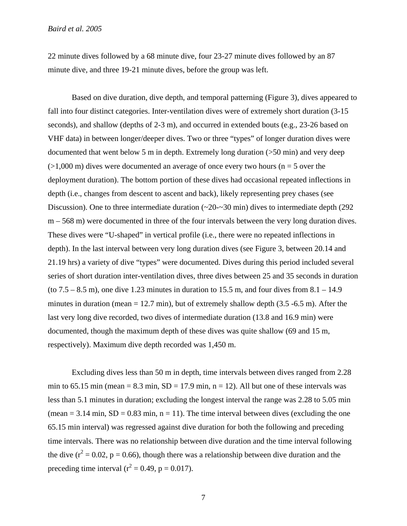22 minute dives followed by a 68 minute dive, four 23-27 minute dives followed by an 87 minute dive, and three 19-21 minute dives, before the group was left.

Based on dive duration, dive depth, and temporal patterning (Figure 3), dives appeared to fall into four distinct categories. Inter-ventilation dives were of extremely short duration (3-15 seconds), and shallow (depths of 2-3 m), and occurred in extended bouts (e.g., 23-26 based on VHF data) in between longer/deeper dives. Two or three "types" of longer duration dives were documented that went below 5 m in depth. Extremely long duration (>50 min) and very deep  $(>1,000 \text{ m})$  dives were documented an average of once every two hours (n = 5 over the deployment duration). The bottom portion of these dives had occasional repeated inflections in depth (i.e., changes from descent to ascent and back), likely representing prey chases (see Discussion). One to three intermediate duration  $\left(\frac{20-30}{2}\right)$  min) dives to intermediate depth (292) m – 568 m) were documented in three of the four intervals between the very long duration dives. These dives were "U-shaped" in vertical profile (i.e., there were no repeated inflections in depth). In the last interval between very long duration dives (see Figure 3, between 20.14 and 21.19 hrs) a variety of dive "types" were documented. Dives during this period included several series of short duration inter-ventilation dives, three dives between 25 and 35 seconds in duration (to  $7.5 - 8.5$  m), one dive 1.23 minutes in duration to 15.5 m, and four dives from  $8.1 - 14.9$ minutes in duration (mean  $= 12.7$  min), but of extremely shallow depth (3.5 -6.5 m). After the last very long dive recorded, two dives of intermediate duration (13.8 and 16.9 min) were documented, though the maximum depth of these dives was quite shallow (69 and 15 m, respectively). Maximum dive depth recorded was 1,450 m.

Excluding dives less than 50 m in depth, time intervals between dives ranged from 2.28 min to 65.15 min (mean = 8.3 min,  $SD = 17.9$  min, n = 12). All but one of these intervals was less than 5.1 minutes in duration; excluding the longest interval the range was 2.28 to 5.05 min (mean  $= 3.14$  min,  $SD = 0.83$  min,  $n = 11$ ). The time interval between dives (excluding the one 65.15 min interval) was regressed against dive duration for both the following and preceding time intervals. There was no relationship between dive duration and the time interval following the dive ( $r^2 = 0.02$ ,  $p = 0.66$ ), though there was a relationship between dive duration and the preceding time interval ( $r^2 = 0.49$ , p = 0.017).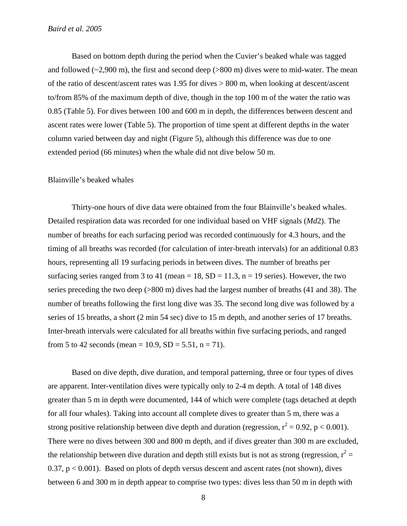Based on bottom depth during the period when the Cuvier's beaked whale was tagged and followed  $(-2,900 \text{ m})$ , the first and second deep  $(>800 \text{ m})$  dives were to mid-water. The mean of the ratio of descent/ascent rates was 1.95 for dives > 800 m, when looking at descent/ascent to/from 85% of the maximum depth of dive, though in the top 100 m of the water the ratio was 0.85 (Table 5). For dives between 100 and 600 m in depth, the differences between descent and ascent rates were lower (Table 5). The proportion of time spent at different depths in the water column varied between day and night (Figure 5), although this difference was due to one extended period (66 minutes) when the whale did not dive below 50 m.

#### Blainville's beaked whales

Thirty-one hours of dive data were obtained from the four Blainville's beaked whales. Detailed respiration data was recorded for one individual based on VHF signals (*Md*2). The number of breaths for each surfacing period was recorded continuously for 4.3 hours, and the timing of all breaths was recorded (for calculation of inter-breath intervals) for an additional 0.83 hours, representing all 19 surfacing periods in between dives. The number of breaths per surfacing series ranged from 3 to 41 (mean = 18,  $SD = 11.3$ , n = 19 series). However, the two series preceding the two deep (>800 m) dives had the largest number of breaths (41 and 38). The number of breaths following the first long dive was 35. The second long dive was followed by a series of 15 breaths, a short (2 min 54 sec) dive to 15 m depth, and another series of 17 breaths. Inter-breath intervals were calculated for all breaths within five surfacing periods, and ranged from 5 to 42 seconds (mean = 10.9, SD = 5.51, n = 71).

Based on dive depth, dive duration, and temporal patterning, three or four types of dives are apparent. Inter-ventilation dives were typically only to 2-4 m depth. A total of 148 dives greater than 5 m in depth were documented, 144 of which were complete (tags detached at depth for all four whales). Taking into account all complete dives to greater than 5 m, there was a strong positive relationship between dive depth and duration (regression,  $r^2 = 0.92$ , p < 0.001). There were no dives between 300 and 800 m depth, and if dives greater than 300 m are excluded, the relationship between dive duration and depth still exists but is not as strong (regression,  $r^2 =$ 0.37,  $p < 0.001$ ). Based on plots of depth versus descent and ascent rates (not shown), dives between 6 and 300 m in depth appear to comprise two types: dives less than 50 m in depth with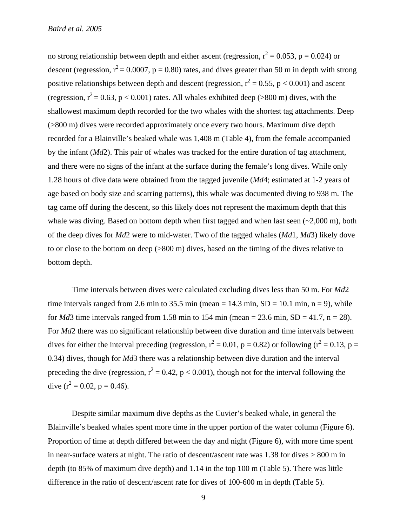no strong relationship between depth and either ascent (regression,  $r^2 = 0.053$ , p = 0.024) or descent (regression,  $r^2 = 0.0007$ , p = 0.80) rates, and dives greater than 50 m in depth with strong positive relationships between depth and descent (regression,  $r^2 = 0.55$ ,  $p < 0.001$ ) and ascent (regression,  $r^2$  = 0.63, p < 0.001) rates. All whales exhibited deep (>800 m) dives, with the shallowest maximum depth recorded for the two whales with the shortest tag attachments. Deep (>800 m) dives were recorded approximately once every two hours. Maximum dive depth recorded for a Blainville's beaked whale was 1,408 m (Table 4), from the female accompanied by the infant (*Md*2). This pair of whales was tracked for the entire duration of tag attachment, and there were no signs of the infant at the surface during the female's long dives. While only 1.28 hours of dive data were obtained from the tagged juvenile (*Md*4; estimated at 1-2 years of age based on body size and scarring patterns), this whale was documented diving to 938 m. The tag came off during the descent, so this likely does not represent the maximum depth that this whale was diving. Based on bottom depth when first tagged and when last seen  $\left(\sim 2,000 \text{ m}\right)$ , both of the deep dives for *Md*2 were to mid-water. Two of the tagged whales (*Md*1, *Md*3) likely dove to or close to the bottom on deep (>800 m) dives, based on the timing of the dives relative to bottom depth.

Time intervals between dives were calculated excluding dives less than 50 m. For *Md*2 time intervals ranged from 2.6 min to 35.5 min (mean  $= 14.3$  min,  $SD = 10.1$  min, n  $= 9$ ), while for *Md*3 time intervals ranged from 1.58 min to 154 min (mean = 23.6 min, SD = 41.7, n = 28). For *Md*2 there was no significant relationship between dive duration and time intervals between dives for either the interval preceding (regression,  $r^2 = 0.01$ ,  $p = 0.82$ ) or following ( $r^2 = 0.13$ ,  $p =$ 0.34) dives, though for *Md*3 there was a relationship between dive duration and the interval preceding the dive (regression,  $r^2 = 0.42$ ,  $p < 0.001$ ), though not for the interval following the dive  $(r^2 = 0.02, p = 0.46)$ .

Despite similar maximum dive depths as the Cuvier's beaked whale, in general the Blainville's beaked whales spent more time in the upper portion of the water column (Figure 6). Proportion of time at depth differed between the day and night (Figure 6), with more time spent in near-surface waters at night. The ratio of descent/ascent rate was 1.38 for dives > 800 m in depth (to 85% of maximum dive depth) and 1.14 in the top 100 m (Table 5). There was little difference in the ratio of descent/ascent rate for dives of 100-600 m in depth (Table 5).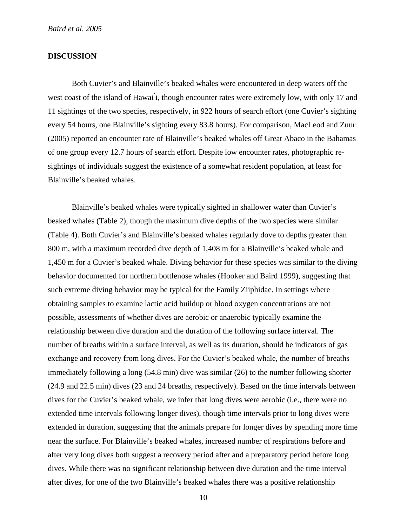# **DISCUSSION**

Both Cuvier's and Blainville's beaked whales were encountered in deep waters off the west coast of the island of Hawai' i, though encounter rates were extremely low, with only 17 and 11 sightings of the two species, respectively, in 922 hours of search effort (one Cuvier's sighting every 54 hours, one Blainville's sighting every 83.8 hours). For comparison, MacLeod and Zuur (2005) reported an encounter rate of Blainville's beaked whales off Great Abaco in the Bahamas of one group every 12.7 hours of search effort. Despite low encounter rates, photographic resightings of individuals suggest the existence of a somewhat resident population, at least for Blainville's beaked whales.

Blainville's beaked whales were typically sighted in shallower water than Cuvier's beaked whales (Table 2), though the maximum dive depths of the two species were similar (Table 4). Both Cuvier's and Blainville's beaked whales regularly dove to depths greater than 800 m, with a maximum recorded dive depth of 1,408 m for a Blainville's beaked whale and 1,450 m for a Cuvier's beaked whale. Diving behavior for these species was similar to the diving behavior documented for northern bottlenose whales (Hooker and Baird 1999), suggesting that such extreme diving behavior may be typical for the Family Ziiphidae. In settings where obtaining samples to examine lactic acid buildup or blood oxygen concentrations are not possible, assessments of whether dives are aerobic or anaerobic typically examine the relationship between dive duration and the duration of the following surface interval. The number of breaths within a surface interval, as well as its duration, should be indicators of gas exchange and recovery from long dives. For the Cuvier's beaked whale, the number of breaths immediately following a long (54.8 min) dive was similar (26) to the number following shorter (24.9 and 22.5 min) dives (23 and 24 breaths, respectively). Based on the time intervals between dives for the Cuvier's beaked whale, we infer that long dives were aerobic (i.e., there were no extended time intervals following longer dives), though time intervals prior to long dives were extended in duration, suggesting that the animals prepare for longer dives by spending more time near the surface. For Blainville's beaked whales, increased number of respirations before and after very long dives both suggest a recovery period after and a preparatory period before long dives. While there was no significant relationship between dive duration and the time interval after dives, for one of the two Blainville's beaked whales there was a positive relationship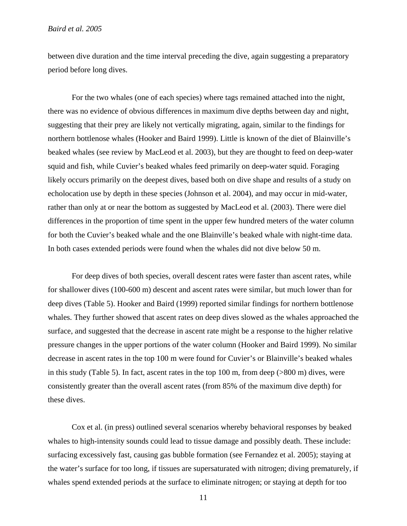between dive duration and the time interval preceding the dive, again suggesting a preparatory period before long dives.

For the two whales (one of each species) where tags remained attached into the night, there was no evidence of obvious differences in maximum dive depths between day and night, suggesting that their prey are likely not vertically migrating, again, similar to the findings for northern bottlenose whales (Hooker and Baird 1999). Little is known of the diet of Blainville's beaked whales (see review by MacLeod et al. 2003), but they are thought to feed on deep-water squid and fish, while Cuvier's beaked whales feed primarily on deep-water squid. Foraging likely occurs primarily on the deepest dives, based both on dive shape and results of a study on echolocation use by depth in these species (Johnson et al. 2004), and may occur in mid-water, rather than only at or near the bottom as suggested by MacLeod et al. (2003). There were diel differences in the proportion of time spent in the upper few hundred meters of the water column for both the Cuvier's beaked whale and the one Blainville's beaked whale with night-time data. In both cases extended periods were found when the whales did not dive below 50 m.

 For deep dives of both species, overall descent rates were faster than ascent rates, while for shallower dives (100-600 m) descent and ascent rates were similar, but much lower than for deep dives (Table 5). Hooker and Baird (1999) reported similar findings for northern bottlenose whales. They further showed that ascent rates on deep dives slowed as the whales approached the surface, and suggested that the decrease in ascent rate might be a response to the higher relative pressure changes in the upper portions of the water column (Hooker and Baird 1999). No similar decrease in ascent rates in the top 100 m were found for Cuvier's or Blainville's beaked whales in this study (Table 5). In fact, ascent rates in the top 100 m, from deep (>800 m) dives, were consistently greater than the overall ascent rates (from 85% of the maximum dive depth) for these dives.

 Cox et al. (in press) outlined several scenarios whereby behavioral responses by beaked whales to high-intensity sounds could lead to tissue damage and possibly death. These include: surfacing excessively fast, causing gas bubble formation (see Fernandez et al. 2005); staying at the water's surface for too long, if tissues are supersaturated with nitrogen; diving prematurely, if whales spend extended periods at the surface to eliminate nitrogen; or staying at depth for too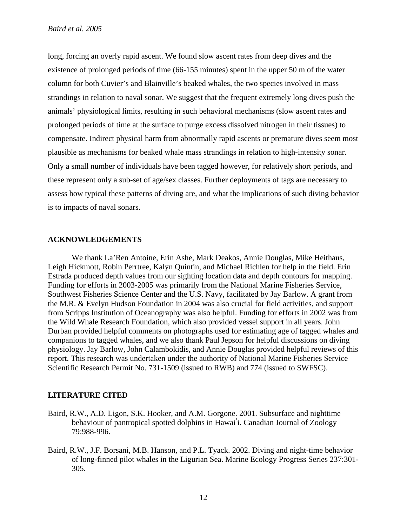long, forcing an overly rapid ascent. We found slow ascent rates from deep dives and the existence of prolonged periods of time (66-155 minutes) spent in the upper 50 m of the water column for both Cuvier's and Blainville's beaked whales, the two species involved in mass strandings in relation to naval sonar. We suggest that the frequent extremely long dives push the animals' physiological limits, resulting in such behavioral mechanisms (slow ascent rates and prolonged periods of time at the surface to purge excess dissolved nitrogen in their tissues) to compensate. Indirect physical harm from abnormally rapid ascents or premature dives seem most plausible as mechanisms for beaked whale mass strandings in relation to high-intensity sonar. Only a small number of individuals have been tagged however, for relatively short periods, and these represent only a sub-set of age/sex classes. Further deployments of tags are necessary to assess how typical these patterns of diving are, and what the implications of such diving behavior is to impacts of naval sonars.

## **ACKNOWLEDGEMENTS**

We thank La'Ren Antoine, Erin Ashe, Mark Deakos, Annie Douglas, Mike Heithaus, Leigh Hickmott, Robin Perrtree, Kalyn Quintin, and Michael Richlen for help in the field. Erin Estrada produced depth values from our sighting location data and depth contours for mapping. Funding for efforts in 2003-2005 was primarily from the National Marine Fisheries Service, Southwest Fisheries Science Center and the U.S. Navy, facilitated by Jay Barlow. A grant from the M.R. & Evelyn Hudson Foundation in 2004 was also crucial for field activities, and support from Scripps Institution of Oceanography was also helpful. Funding for efforts in 2002 was from the Wild Whale Research Foundation, which also provided vessel support in all years. John Durban provided helpful comments on photographs used for estimating age of tagged whales and companions to tagged whales, and we also thank Paul Jepson for helpful discussions on diving physiology. Jay Barlow, John Calambokidis, and Annie Douglas provided helpful reviews of this report. This research was undertaken under the authority of National Marine Fisheries Service Scientific Research Permit No. 731-1509 (issued to RWB) and 774 (issued to SWFSC).

### **LITERATURE CITED**

- Baird, R.W., A.D. Ligon, S.K. Hooker, and A.M. Gorgone. 2001. Subsurface and nighttime behaviour of pantropical spotted dolphins in Hawai**'** i. Canadian Journal of Zoology 79:988-996.
- Baird, R.W., J.F. Borsani, M.B. Hanson, and P.L. Tyack. 2002. Diving and night-time behavior of long-finned pilot whales in the Ligurian Sea. Marine Ecology Progress Series 237:301- 305.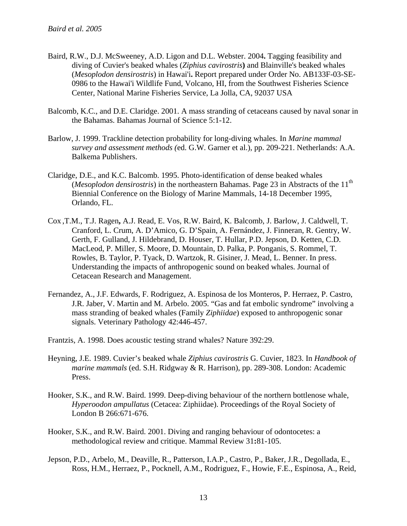- Baird, R.W., D.J. McSweeney, A.D. Ligon and D.L. Webster. 2004**.** Tagging feasibility and diving of Cuvier's beaked whales (*Ziphius cavirostris***)** and Blainville's beaked whales (*Mesoplodon densirostris*) in Hawai'i**.** Report prepared under Order No. AB133F-03-SE-0986 to the Hawai'i Wildlife Fund, Volcano, HI, from the Southwest Fisheries Science Center, National Marine Fisheries Service, La Jolla, CA, 92037 USA
- Balcomb, K.C., and D.E. Claridge. 2001. A mass stranding of cetaceans caused by naval sonar in the Bahamas. Bahamas Journal of Science 5:1-12.
- Barlow, J. 1999. Trackline detection probability for long-diving whales. In *Marine mammal survey and assessment methods (*ed. G.W. Garner et al.), pp. 209-221. Netherlands: A.A. Balkema Publishers.
- Claridge, D.E., and K.C. Balcomb. 1995. Photo-identification of dense beaked whales (*Mesoplodon densirostris*) in the northeastern Bahamas. Page 23 in Abstracts of the 11<sup>th</sup> Biennial Conference on the Biology of Marine Mammals, 14-18 December 1995, Orlando, FL.
- Cox ,T.M., T.J. Ragen**,** A.J. Read, E. Vos, R.W. Baird, K. Balcomb, J. Barlow, J. Caldwell, T. Cranford, L. Crum, A. D'Amico, G. D'Spain, A. Fernández, J. Finneran, R. Gentry, W. Gerth, F. Gulland, J. Hildebrand, D. Houser, T. Hullar, P.D. Jepson, D. Ketten, C.D. MacLeod, P. Miller, S. Moore, D. Mountain, D. Palka, P. Ponganis, S. Rommel, T. Rowles, B. Taylor, P. Tyack, D. Wartzok, R. Gisiner, J. Mead, L. Benner. In press. Understanding the impacts of anthropogenic sound on beaked whales. Journal of Cetacean Research and Management.
- Fernandez, A., J.F. Edwards, F. Rodriguez, A. Espinosa de los Monteros, P. Herraez, P. Castro, J.R. Jaber, V. Martin and M. Arbelo. 2005. "Gas and fat embolic syndrome" involving a mass stranding of beaked whales (Family *Ziphiidae*) exposed to anthropogenic sonar signals. Veterinary Pathology 42:446-457.

Frantzis, A. 1998. Does acoustic testing strand whales? Nature 392:29.

- Heyning, J.E. 1989. Cuvier's beaked whale *Ziphius cavirostris* G. Cuvier, 1823. In *Handbook of marine mammals* (ed. S.H. Ridgway & R. Harrison), pp. 289-308. London: Academic Press.
- Hooker, S.K., and R.W. Baird. 1999. Deep-diving behaviour of the northern bottlenose whale, *Hyperoodon ampullatus* (Cetacea: Ziphiidae). Proceedings of the Royal Society of London B 266:671-676.
- Hooker, S.K., and R.W. Baird. 2001. Diving and ranging behaviour of odontocetes: a methodological review and critique. Mammal Review 31**:**81-105.
- Jepson, P.D., Arbelo, M., Deaville, R., Patterson, I.A.P., Castro, P., Baker, J.R., Degollada, E., Ross, H.M., Herraez, P., Pocknell, A.M., Rodriguez, F., Howie, F.E., Espinosa, A., Reid,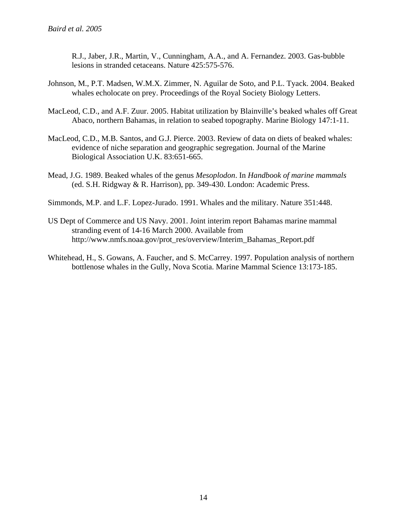R.J., Jaber, J.R., Martin, V., Cunningham, A.A., and A. Fernandez. 2003. Gas-bubble lesions in stranded cetaceans. Nature 425:575-576.

- Johnson, M., P.T. Madsen, W.M.X. Zimmer, N. Aguilar de Soto, and P.L. Tyack. 2004. Beaked whales echolocate on prey. Proceedings of the Royal Society Biology Letters.
- MacLeod, C.D., and A.F. Zuur. 2005. Habitat utilization by Blainville's beaked whales off Great Abaco, northern Bahamas, in relation to seabed topography. Marine Biology 147:1-11.
- MacLeod, C.D., M.B. Santos, and G.J. Pierce. 2003. Review of data on diets of beaked whales: evidence of niche separation and geographic segregation. Journal of the Marine Biological Association U.K. 83:651-665.
- Mead, J.G. 1989. Beaked whales of the genus *Mesoplodon*. In *Handbook of marine mammals* (ed. S.H. Ridgway & R. Harrison), pp. 349-430. London: Academic Press.
- Simmonds, M.P. and L.F. Lopez-Jurado. 1991. Whales and the military. Nature 351:448.
- US Dept of Commerce and US Navy. 2001. Joint interim report Bahamas marine mammal stranding event of 14-16 March 2000. Available from http://www.nmfs.noaa.gov/prot\_res/overview/Interim\_Bahamas\_Report.pdf
- Whitehead, H., S. Gowans, A. Faucher, and S. McCarrey. 1997. Population analysis of northern bottlenose whales in the Gully, Nova Scotia. Marine Mammal Science 13:173-185.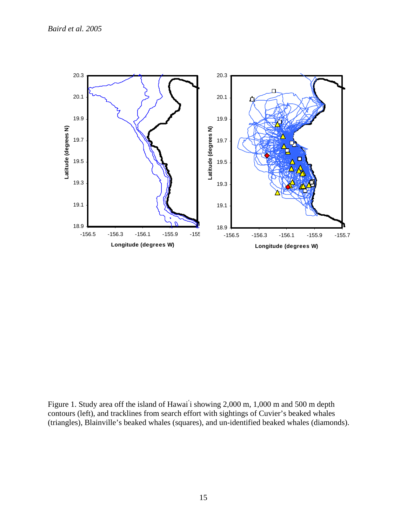

Figure 1. Study area off the island of Hawai i showing 2,000 m, 1,000 m and 500 m depth contours (left), and tracklines from search effort with sightings of Cuvier's beaked whales (triangles), Blainville's beaked whales (squares), and un-identified beaked whales (diamonds).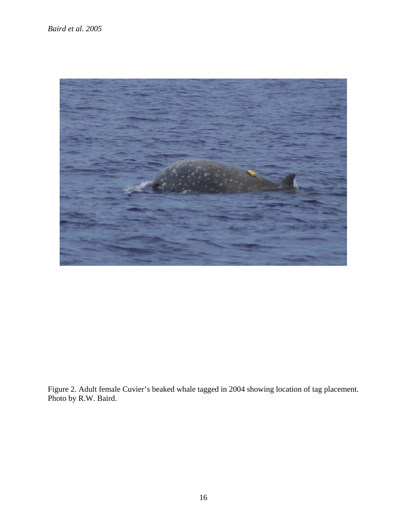

Figure 2. Adult female Cuvier's beaked whale tagged in 2004 showing location of tag placement. Photo by R.W. Baird.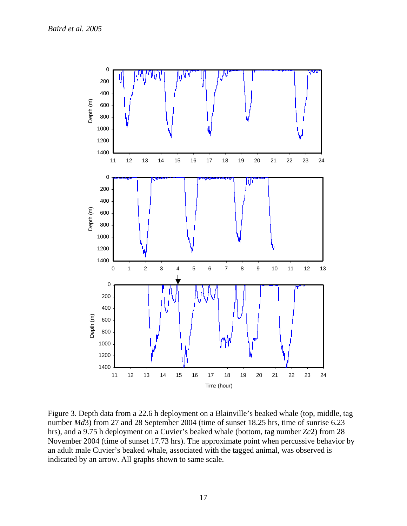

Figure 3. Depth data from a 22.6 h deployment on a Blainville's beaked whale (top, middle, tag number *Md*3) from 27 and 28 September 2004 (time of sunset 18.25 hrs, time of sunrise 6.23 hrs), and a 9.75 h deployment on a Cuvier's beaked whale (bottom, tag number *Zc*2) from 28 November 2004 (time of sunset 17.73 hrs). The approximate point when percussive behavior by an adult male Cuvier's beaked whale, associated with the tagged animal, was observed is indicated by an arrow. All graphs shown to same scale.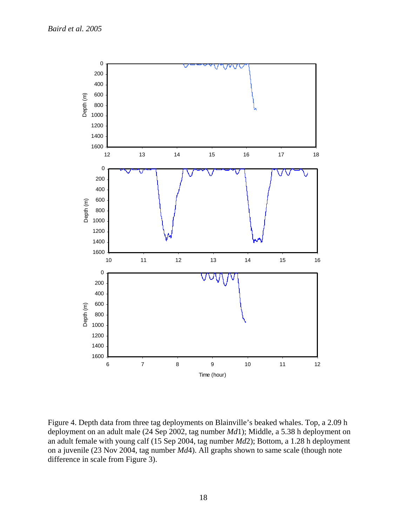

Figure 4. Depth data from three tag deployments on Blainville's beaked whales. Top, a 2.09 h deployment on an adult male (24 Sep 2002, tag number *Md*1); Middle, a 5.38 h deployment on an adult female with young calf (15 Sep 2004, tag number *Md*2); Bottom, a 1.28 h deployment on a juvenile (23 Nov 2004, tag number *Md*4). All graphs shown to same scale (though note difference in scale from Figure 3).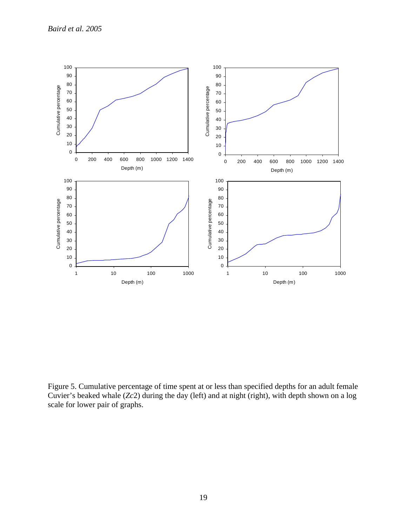

Figure 5. Cumulative percentage of time spent at or less than specified depths for an adult female Cuvier's beaked whale (*Zc*2) during the day (left) and at night (right), with depth shown on a log scale for lower pair of graphs.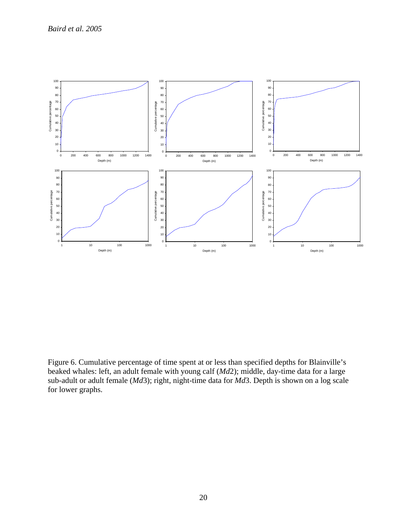

Figure 6. Cumulative percentage of time spent at or less than specified depths for Blainville's beaked whales: left, an adult female with young calf (*Md*2); middle, day-time data for a large sub-adult or adult female (*Md*3); right, night-time data for *Md*3. Depth is shown on a log scale for lower graphs.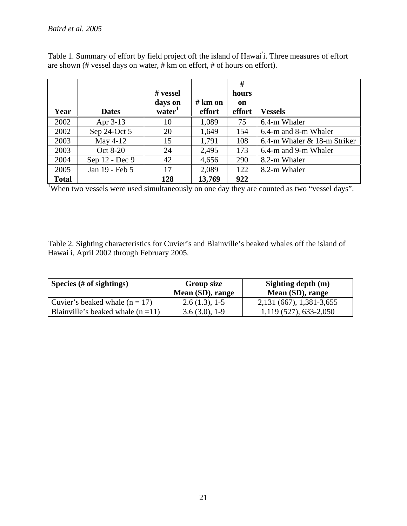Table 1. Summary of effort by field project off the island of Hawai ' i. Three measures of effort are shown (# vessel days on water, # km on effort, # of hours on effort).

|              |                | # vessel<br>days on | # km on | #<br>hours<br>on |                             |
|--------------|----------------|---------------------|---------|------------------|-----------------------------|
| Year         | <b>Dates</b>   | water <sup>1</sup>  | effort  | effort           | <b>Vessels</b>              |
| 2002         | Apr 3-13       | 10                  | 1,089   | 75               | 6.4-m Whaler                |
| 2002         | Sep 24-Oct 5   | 20                  | 1,649   | 154              | 6.4-m and 8-m Whaler        |
| 2003         | May 4-12       | 15                  | 1,791   | 108              | 6.4-m Whaler & 18-m Striker |
| 2003         | Oct 8-20       | 24                  | 2,495   | 173              | 6.4-m and 9-m Whaler        |
| 2004         | Sep 12 - Dec 9 | 42                  | 4,656   | 290              | 8.2-m Whaler                |
| 2005         | Jan 19 - Feb 5 | 17                  | 2,089   | 122              | 8.2-m Whaler                |
| <b>Total</b> |                | 128                 | 13,769  | 922              |                             |

<sup>1</sup>When two vessels were used simultaneously on one day they are counted as two "vessel days".

Table 2. Sighting characteristics for Cuvier's and Blainville's beaked whales off the island of Hawai ' i, April 2002 through February 2005.

| Species $(\# \text{ of }$ sightings) | <b>Group size</b><br>Mean (SD), range | Sighting depth (m)<br>Mean (SD), range |  |  |  |
|--------------------------------------|---------------------------------------|----------------------------------------|--|--|--|
| Cuvier's beaked whale $(n = 17)$     | $2.6(1.3), 1-5$                       | 2, 131 (667), 1, 381 - 3, 655          |  |  |  |
| Blainville's beaked whale $(n=11)$   | $3.6(3.0), 1-9$                       | 1,119 (527), 633-2,050                 |  |  |  |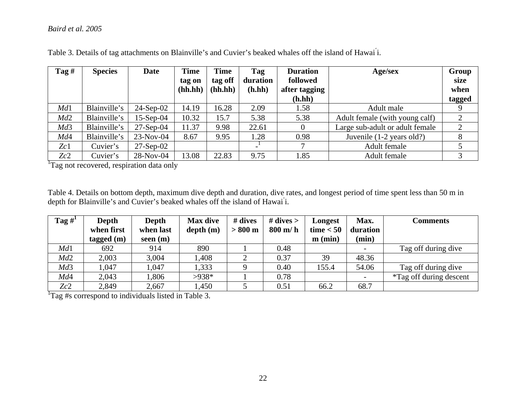# *Baird et al. 2005*

| Tag# | <b>Species</b> | Date         | <b>Time</b><br>tag on | <b>Time</b><br>tag off | Tag<br>duration | <b>Duration</b><br>followed | Age/sex                         | Group<br>size |
|------|----------------|--------------|-----------------------|------------------------|-----------------|-----------------------------|---------------------------------|---------------|
|      |                |              | (hh.hh)               | (hh.hh)                | (h.hh)          | after tagging               |                                 | when          |
|      |                |              |                       |                        |                 | (h.hh)                      |                                 | tagged        |
| Md1  | Blainville's   | $24$ -Sep-02 | 14.19                 | 16.28                  | 2.09            | 1.58                        | Adult male                      |               |
| Md2  | Blainville's   | $15-Sep-04$  | 10.32                 | 15.7                   | 5.38            | 5.38                        | Adult female (with young calf)  | 2             |
| Md3  | Blainville's   | $27-Sep-04$  | 11.37                 | 9.98                   | 22.61           | $\theta$                    | Large sub-adult or adult female | 2             |
| Md4  | Blainville's   | $23-Nov-04$  | 8.67                  | 9.95                   | 1.28            | 0.98                        | Juvenile (1-2 years old?)       |               |
| Zc1  | Cuvier's       | $27$ -Sep-02 |                       |                        |                 |                             | Adult female                    |               |
| Zc2  | Cuvier's       | $28-Nov-04$  | 13.08                 | 22.83                  | 9.75            | 1.85                        | Adult female                    |               |

Table 3. Details of tag attachments on Blainville's and Cuvier's beaked whales off the island of Hawai i.

<sup>1</sup>Tag not recovered, respiration data only

Table 4. Details on bottom depth, maximum dive depth and duration, dive rates, and longest period of time spent less than 50 m in depth for Blainville's and Cuvier's beaked whales off the island of Hawai i.

| Tag $#^1$ | Depth        | Depth      | <b>Max dive</b> | # dives           | # dives $>$ | Longest     | Max.                     | Comments                       |
|-----------|--------------|------------|-----------------|-------------------|-------------|-------------|--------------------------|--------------------------------|
|           | when first   | when last  | depth(m)        | $> 800 \text{ m}$ | $800$ m/h   | time $< 50$ | duration                 |                                |
|           | tagged $(m)$ | seen $(m)$ |                 |                   |             | $m$ (min)   | (min)                    |                                |
| Md1       | 692          | 914        | 890             |                   | 0.48        |             | $\overline{\phantom{a}}$ | Tag off during dive            |
| Md2       | 2,003        | 3,004      | 1,408           |                   | 0.37        | 39          | 48.36                    |                                |
| Md3       | 1,047        | 1,047      | 1,333           |                   | 0.40        | 155.4       | 54.06                    | Tag off during dive            |
| Md4       | 2,043        | 1,806      | $>938*$         |                   | 0.78        |             |                          | <i>*Tag off during descent</i> |
| Zc2       | 2,849        | 2,667      | 1,450           |                   | 0.51        | 66.2        | 68.7                     |                                |

<sup>1</sup>Tag #s correspond to individuals listed in Table 3.